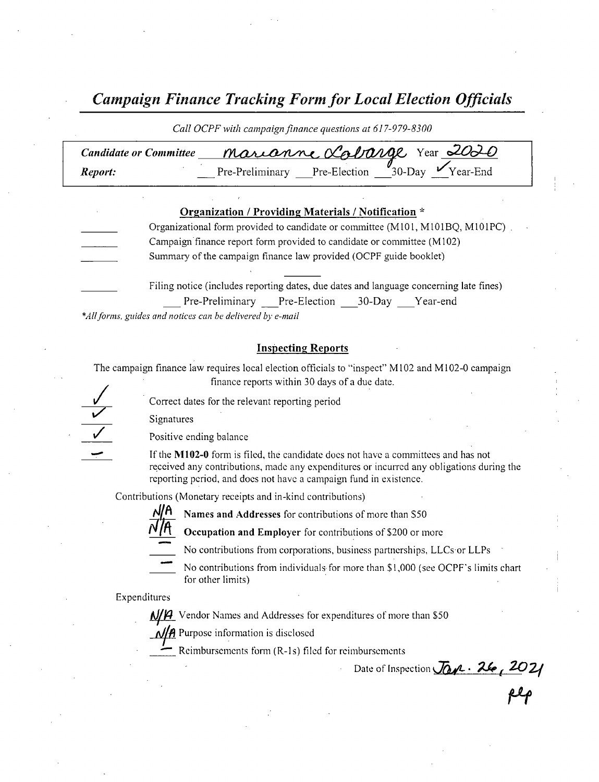Campaign Finance Tracking Form for Local Election Officials

| Call OCPF with campaign finance questions at 617-979-8300 |  |  |                                                                          |  |
|-----------------------------------------------------------|--|--|--------------------------------------------------------------------------|--|
| <b>Candidate or Committee</b>                             |  |  | Marianne Labarge Year 2020                                               |  |
| Report:                                                   |  |  | Pre-Preliminary Pre-Election $\frac{\theta}{30}$ -Day $\sqrt{Y}$ ear-End |  |

| Organization / Providing Materials / Notification * |                                                                                        |  |  |  |  |
|-----------------------------------------------------|----------------------------------------------------------------------------------------|--|--|--|--|
|                                                     | Organizational form provided to candidate or committee (M101, M101BQ, M101PC).         |  |  |  |  |
|                                                     | Campaign finance report form provided to candidate or committee (M102)                 |  |  |  |  |
|                                                     | Summary of the campaign finance law provided (OCPF guide booklet)                      |  |  |  |  |
|                                                     |                                                                                        |  |  |  |  |
|                                                     | Filing notice (includes reporting dates, due dates and language concerning late fines) |  |  |  |  |
|                                                     | Pre-Preliminary Pre-Election 30-Day Year-end                                           |  |  |  |  |

\*All forms, guides and notices can be delivered by e-mail

#### **Inspecting Reports**

The campaign finance law requires local election officials to "inspect" M102 and M102-0 campaign finance reports within 30 days of <sup>a</sup> due date.

Correct dates for the relevant reporting period

Signatures



Positive ending balance

If the M102-0 form is filed, the candidate does not have a committees and has not received any contributions, made any expenditures or incurred any obligations during the reporting period, and does not have a campaign fund in existence.

Contributions ( Monetary receipts and in- kind contributions)



Names and Addresses for contributions of more than \$50



Occupation and Employer for contributions of \$200 or more

No contributions from corporations, business partnerships, LLCs or LLPs



No contributions from individuals for more than \$1,000 (see OCPF's limits chart for other limits)

Expenditures

M/H Vendor Names and Addresses for expenditures of more than \$50

 $\frac{N}{A}$  Purpose information is disclosed

Reimbursements form (R-1s) filed for reimbursements

nbursements<br>Date of Inspection Jan.- 26, 2021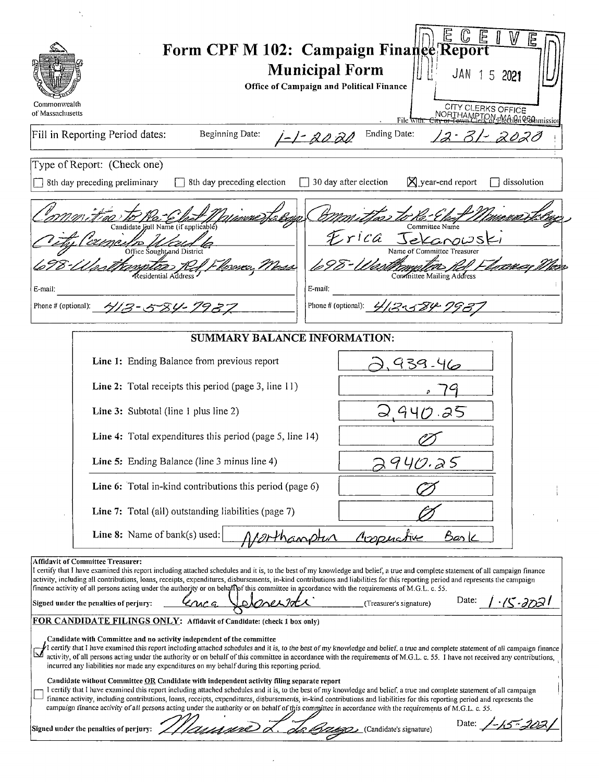| Commonwealth                                                                                                                                                                                                                                                                                                                                                                                                                                                                                                                                                                                                                                                    | Form CPF M 102: Campaign Finance Report<br><b>Municipal Form</b><br>JAN 15 2021<br><b>Office of Campaign and Political Finance</b> |  |  |  |
|-----------------------------------------------------------------------------------------------------------------------------------------------------------------------------------------------------------------------------------------------------------------------------------------------------------------------------------------------------------------------------------------------------------------------------------------------------------------------------------------------------------------------------------------------------------------------------------------------------------------------------------------------------------------|------------------------------------------------------------------------------------------------------------------------------------|--|--|--|
| of Massachusetts                                                                                                                                                                                                                                                                                                                                                                                                                                                                                                                                                                                                                                                | CITY CLERKS OFFICE<br>NORTHAMPTON-PACtion@OAnmission<br>File <del>wit</del>                                                        |  |  |  |
| Fill in Reporting Period dates:<br>Beginning Date:                                                                                                                                                                                                                                                                                                                                                                                                                                                                                                                                                                                                              | Ending Date:<br><u> - - 20 20</u>                                                                                                  |  |  |  |
| Type of Report: (Check one)                                                                                                                                                                                                                                                                                                                                                                                                                                                                                                                                                                                                                                     |                                                                                                                                    |  |  |  |
| 8th day preceding election<br>8th day preceding preliminary                                                                                                                                                                                                                                                                                                                                                                                                                                                                                                                                                                                                     | $\boxtimes$ year-end report<br>30 day after election<br>dissolution                                                                |  |  |  |
| Candidate Full Name (if applicable)                                                                                                                                                                                                                                                                                                                                                                                                                                                                                                                                                                                                                             | Committee Name                                                                                                                     |  |  |  |
| Office Sought and District                                                                                                                                                                                                                                                                                                                                                                                                                                                                                                                                                                                                                                      | Name of Committee Treasurer                                                                                                        |  |  |  |
| Residential Address<br>E-mail:                                                                                                                                                                                                                                                                                                                                                                                                                                                                                                                                                                                                                                  | Committee Mailing Address<br>E-mail:                                                                                               |  |  |  |
| Phone # (optional): 4/3-584-7937                                                                                                                                                                                                                                                                                                                                                                                                                                                                                                                                                                                                                                | Phone # (optional): 4/13-1584-79                                                                                                   |  |  |  |
| <b>SUMMARY BALANCE INFORMATION:</b>                                                                                                                                                                                                                                                                                                                                                                                                                                                                                                                                                                                                                             |                                                                                                                                    |  |  |  |
| Line 1: Ending Balance from previous report                                                                                                                                                                                                                                                                                                                                                                                                                                                                                                                                                                                                                     | 939-46                                                                                                                             |  |  |  |
| Line 2: Total receipts this period (page 3, line 11)                                                                                                                                                                                                                                                                                                                                                                                                                                                                                                                                                                                                            |                                                                                                                                    |  |  |  |
| Line 3: Subtotal (line 1 plus line 2)                                                                                                                                                                                                                                                                                                                                                                                                                                                                                                                                                                                                                           |                                                                                                                                    |  |  |  |
| Line 4: Total expenditures this period (page 5, line 14)                                                                                                                                                                                                                                                                                                                                                                                                                                                                                                                                                                                                        |                                                                                                                                    |  |  |  |
| Line 5: Ending Balance (line 3 minus line 4)                                                                                                                                                                                                                                                                                                                                                                                                                                                                                                                                                                                                                    | 940.25                                                                                                                             |  |  |  |
| Line 6: Total in-kind contributions this period (page 6)                                                                                                                                                                                                                                                                                                                                                                                                                                                                                                                                                                                                        |                                                                                                                                    |  |  |  |
| Line 7: Total (all) outstanding liabilities (page 7)                                                                                                                                                                                                                                                                                                                                                                                                                                                                                                                                                                                                            |                                                                                                                                    |  |  |  |
| Line 8: Name of bank(s) used:                                                                                                                                                                                                                                                                                                                                                                                                                                                                                                                                                                                                                                   | Cooperative<br><u>Bask</u><br>Orthanptin                                                                                           |  |  |  |
| <b>Affidavit of Committee Treasurer:</b><br>I certify that I have examined this report including attached schedules and it is, to the best of my knowledge and belief, a true and complete statement of all campaign finance<br>activity, including all contributions, loans, receipts, expenditures, disbursements, in-kind contributions and liabilities for this reporting period and represents the campaign<br>finance activity of all persons acting under the authority or on behaft of this committee in accordance with the requirements of M.G.L. c. 55.<br>Date:<br>$15 - 3723$<br>Signed under the penalties of perjury:<br>(Treasurer's signature) |                                                                                                                                    |  |  |  |
| FOR CANDIDATE FILINGS ONLY: Affidavit of Candidate: (check 1 box only)<br>Candidate with Committee and no activity independent of the committee                                                                                                                                                                                                                                                                                                                                                                                                                                                                                                                 |                                                                                                                                    |  |  |  |
| <sup>\$</sup> I certify that I have examined this report including attached schedules and it is, to the best of my knowledge and belief, a true and complete statement of all campaign finance<br>activity, of all persons acting under the authority or on behalf of this committee in accordance with the requirements of M.G.L. c. 55. I have not received any contributions,<br>incurred any liabilities nor made any expenditures on my behalf during this reporting period.                                                                                                                                                                               |                                                                                                                                    |  |  |  |
| Candidate without Committee OR Candidate with independent activity filing separate report<br>I certify that I have examined this report including attached schedules and it is, to the best of my knowledge and belief, a true and complete statement of all campaign<br>finance activity, including contributions, loans, receipts, expenditures, disbursements, in-kind contributions and liabilities for this reporting period and represents the<br>campaign finance activity of all persons acting under the authority or on behalf of this committee in accordance with the requirements of M.G.L. c. 55.                                                 |                                                                                                                                    |  |  |  |
| 'nnnne d<br>Signed under the penalties of perjury:                                                                                                                                                                                                                                                                                                                                                                                                                                                                                                                                                                                                              | Date: 1-15-202<br>(Candidate's signature)                                                                                          |  |  |  |

 $\mathcal{A}^{\mathrm{c}}$  ,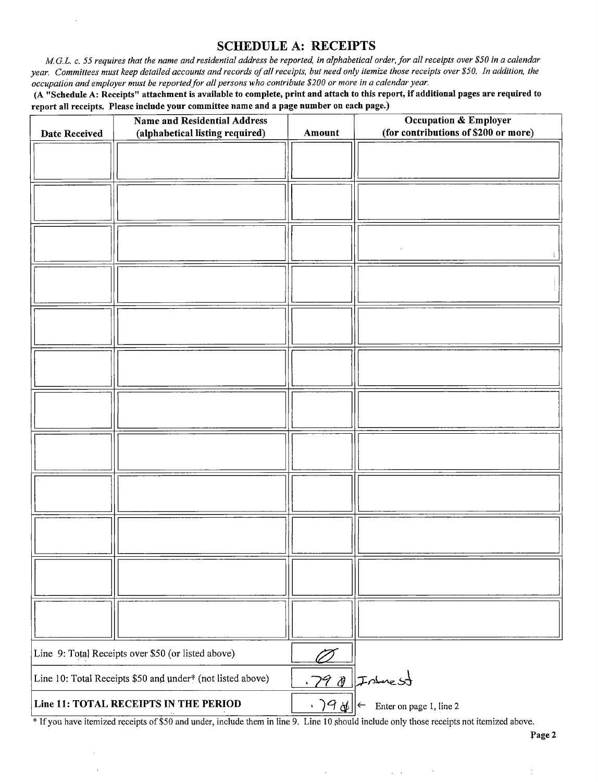#### SCHEDULE A: RECEIPTS

M.G.L. c. 55 requires that the name and residential address be reported, in alphabetical order, for all receipts over \$50 in a calendar year. Committees must keep detailed accounts and records of all receipts, but need only itemize those receipts over \$50. In addition, the occupation and employer must be reported for all persons who contribute\$ 200 or more in <sup>a</sup> calendar year.

 $\bar{z}$ 

A" Schedule A: Receipts" attachment is available to complete, print and attach to this report, if additional pages are required to report all receipts. Please include your committee name and a page number on each page.)

| <b>Date Received</b> | <b>Name and Residential Address</b><br>(alphabetical listing required) | Amount | Occupation & Employer<br>(for contributions of \$200 or more)           |
|----------------------|------------------------------------------------------------------------|--------|-------------------------------------------------------------------------|
|                      |                                                                        |        |                                                                         |
|                      |                                                                        |        |                                                                         |
|                      |                                                                        |        |                                                                         |
|                      |                                                                        |        |                                                                         |
|                      |                                                                        |        |                                                                         |
|                      |                                                                        |        |                                                                         |
|                      |                                                                        |        |                                                                         |
|                      |                                                                        |        |                                                                         |
|                      |                                                                        |        |                                                                         |
|                      |                                                                        |        |                                                                         |
|                      |                                                                        |        |                                                                         |
|                      |                                                                        |        |                                                                         |
|                      |                                                                        |        |                                                                         |
|                      |                                                                        |        |                                                                         |
|                      |                                                                        |        |                                                                         |
|                      |                                                                        |        |                                                                         |
|                      |                                                                        |        |                                                                         |
|                      |                                                                        |        |                                                                         |
|                      |                                                                        |        |                                                                         |
|                      |                                                                        |        |                                                                         |
|                      |                                                                        |        |                                                                         |
|                      |                                                                        |        |                                                                         |
|                      |                                                                        |        |                                                                         |
|                      | Line 9: Total Receipts over \$50 (or listed above)                     |        |                                                                         |
|                      | Line 10: Total Receipts \$50 and under* (not listed above)             |        | .790 Interest                                                           |
|                      | Line 11: TOTAL RECEIPTS IN THE PERIOD                                  |        | $\cdot$ $\overline{)9}$ of $\Big $ $\leftarrow$ Enter on page 1, line 2 |

<sup>\*</sup> If you have itemized receipts of \$50 and under, include them in line 9. Line 10 should include only those receipts not itemized above.

 $\epsilon$ 

 $\varphi\in\mathcal{C}$ 

 $\sim$   $\sim$ 

Page 2

 $\ddot{\cdot}$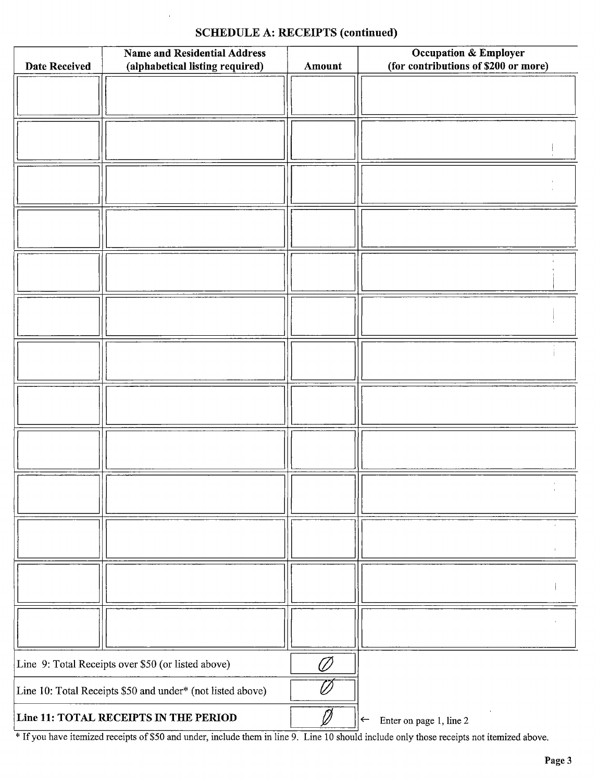## SCHEDULE A: RECEIPTS (continued)

| <b>Date Received</b>                                    | <b>Name and Residential Address</b><br>(alphabetical listing required) | Amount | Occupation & Employer<br>(for contributions of \$200 or more) |
|---------------------------------------------------------|------------------------------------------------------------------------|--------|---------------------------------------------------------------|
|                                                         |                                                                        |        |                                                               |
|                                                         |                                                                        |        |                                                               |
|                                                         |                                                                        |        |                                                               |
|                                                         |                                                                        |        |                                                               |
|                                                         |                                                                        |        |                                                               |
|                                                         |                                                                        |        |                                                               |
|                                                         |                                                                        |        |                                                               |
|                                                         |                                                                        |        |                                                               |
|                                                         |                                                                        |        |                                                               |
|                                                         |                                                                        |        |                                                               |
|                                                         |                                                                        |        |                                                               |
|                                                         |                                                                        |        |                                                               |
|                                                         |                                                                        |        |                                                               |
|                                                         |                                                                        |        |                                                               |
|                                                         |                                                                        |        |                                                               |
|                                                         |                                                                        |        |                                                               |
|                                                         |                                                                        |        |                                                               |
|                                                         |                                                                        |        |                                                               |
|                                                         |                                                                        |        |                                                               |
|                                                         |                                                                        |        |                                                               |
|                                                         |                                                                        |        |                                                               |
|                                                         |                                                                        |        |                                                               |
|                                                         |                                                                        |        |                                                               |
|                                                         |                                                                        |        |                                                               |
|                                                         |                                                                        |        |                                                               |
|                                                         |                                                                        |        |                                                               |
|                                                         |                                                                        |        |                                                               |
|                                                         |                                                                        |        |                                                               |
|                                                         |                                                                        |        |                                                               |
|                                                         |                                                                        |        |                                                               |
|                                                         |                                                                        |        |                                                               |
| Line 9: Total Receipts over \$50 (or listed above)<br>Ø |                                                                        |        |                                                               |
|                                                         | Line 10: Total Receipts \$50 and under* (not listed above)             |        |                                                               |
| Line 11: TOTAL RECEIPTS IN THE PERIOD                   |                                                                        |        | Enter on page 1, line 2<br>$\leftarrow$                       |

<sup>If</sup> If you have itemized receipts of \$50 and under, include them in line 9. Line 10 should include only those receipts not itemized above.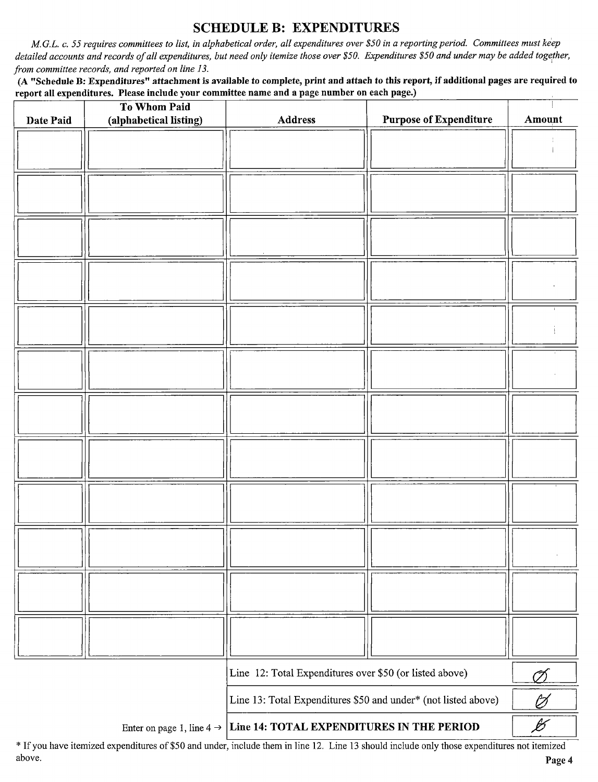## SCHEDULE B: EXPENDITURES

M.G.L. c. 55 requires committees to list, in alphabetical order, all expenditures over \$50 in a reporting period. Committees must keep detailed accounts and records of all expenditures, but need only itemize those over \$50. Expenditures \$50 and under may be added together, from committee records, and reported on line 13.

A " Schedule B: Expenditures" attachment is available to complete, print and attach to this report, if additional pages are required to report all expenditures. Please include your committee name and a page number on each page.)

| Date Paid | To Whom Paid<br>(alphabetical listing) | <b>Address</b>                                                                  | <b>Purpose of Expenditure</b> | Amount                   |
|-----------|----------------------------------------|---------------------------------------------------------------------------------|-------------------------------|--------------------------|
|           |                                        |                                                                                 |                               |                          |
|           |                                        |                                                                                 |                               |                          |
|           |                                        |                                                                                 |                               |                          |
|           |                                        |                                                                                 |                               |                          |
|           |                                        |                                                                                 |                               |                          |
|           |                                        |                                                                                 |                               |                          |
|           |                                        |                                                                                 |                               |                          |
|           |                                        |                                                                                 |                               |                          |
|           |                                        |                                                                                 |                               |                          |
|           |                                        |                                                                                 |                               |                          |
|           |                                        |                                                                                 |                               |                          |
|           |                                        |                                                                                 |                               |                          |
|           |                                        |                                                                                 |                               |                          |
|           |                                        |                                                                                 |                               |                          |
|           |                                        |                                                                                 |                               |                          |
|           |                                        |                                                                                 |                               |                          |
|           |                                        |                                                                                 |                               |                          |
|           |                                        |                                                                                 |                               |                          |
|           |                                        |                                                                                 |                               |                          |
|           |                                        |                                                                                 |                               |                          |
|           |                                        |                                                                                 |                               |                          |
|           |                                        |                                                                                 |                               |                          |
|           |                                        |                                                                                 |                               |                          |
|           |                                        | Line 12: Total Expenditures over \$50 (or listed above)                         |                               | Ø                        |
|           |                                        | Line 13: Total Expenditures \$50 and under* (not listed above)                  |                               | Ø                        |
|           |                                        | Enter on page 1, line $4 \rightarrow$ Line 14: TOTAL EXPENDITURES IN THE PERIOD |                               | $\overline{\mathscr{B}}$ |

If you have itemized expenditures of \$50 and under, include them in line 12. Line 13 should include only those expenditures not itemized above. Page 4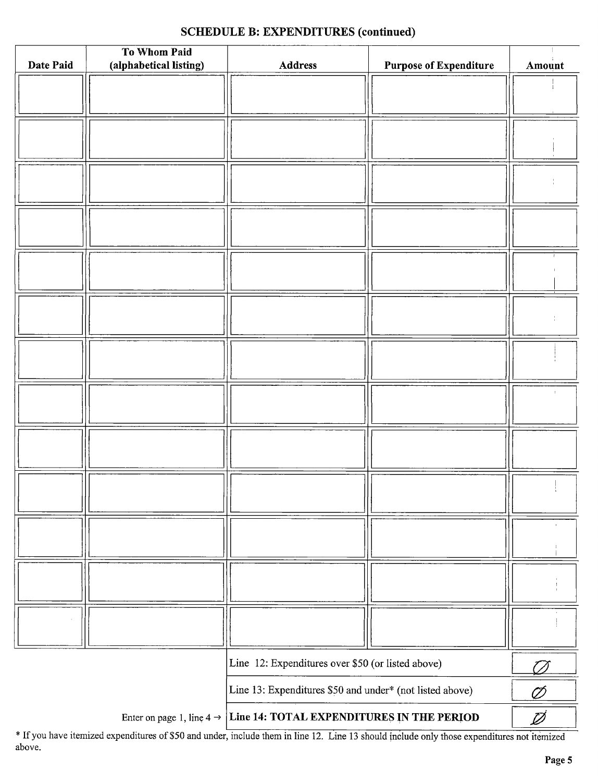## SCHEDULE B: EXPENDITURES (continued)

|           | To Whom Paid           |                                                                                 |                               |        |
|-----------|------------------------|---------------------------------------------------------------------------------|-------------------------------|--------|
| Date Paid | (alphabetical listing) | Address                                                                         | <b>Purpose of Expenditure</b> | Amount |
|           |                        |                                                                                 |                               |        |
|           |                        |                                                                                 |                               |        |
|           |                        |                                                                                 |                               |        |
|           |                        |                                                                                 |                               |        |
|           |                        |                                                                                 |                               |        |
|           |                        |                                                                                 |                               |        |
|           |                        |                                                                                 |                               |        |
|           |                        |                                                                                 |                               |        |
|           |                        |                                                                                 |                               |        |
|           |                        |                                                                                 |                               |        |
|           |                        |                                                                                 |                               |        |
|           |                        |                                                                                 |                               |        |
|           |                        |                                                                                 |                               |        |
|           |                        |                                                                                 |                               |        |
|           |                        |                                                                                 |                               |        |
|           |                        |                                                                                 |                               |        |
|           |                        |                                                                                 |                               |        |
|           |                        |                                                                                 |                               |        |
|           |                        |                                                                                 |                               |        |
|           |                        |                                                                                 |                               |        |
|           |                        |                                                                                 |                               |        |
|           |                        |                                                                                 |                               |        |
|           |                        |                                                                                 |                               |        |
|           |                        |                                                                                 |                               |        |
|           |                        |                                                                                 |                               |        |
|           |                        |                                                                                 |                               |        |
|           |                        |                                                                                 |                               |        |
|           |                        |                                                                                 |                               |        |
|           |                        |                                                                                 |                               |        |
|           |                        |                                                                                 |                               |        |
|           |                        |                                                                                 |                               |        |
|           |                        |                                                                                 |                               |        |
|           |                        |                                                                                 |                               |        |
|           |                        |                                                                                 |                               |        |
|           |                        |                                                                                 |                               |        |
|           |                        | Line 12: Expenditures over \$50 (or listed above)                               |                               | T T    |
|           |                        | Line 13: Expenditures \$50 and under* (not listed above)                        |                               | Ø      |
|           |                        | Enter on page 1, line $4 \rightarrow$ Line 14: TOTAL EXPENDITURES IN THE PERIOD |                               | Ø      |

If you have itemized expenditures of\$50 and under, include them in line 12. Line <sup>13</sup> should include only those expenditures not itemized above.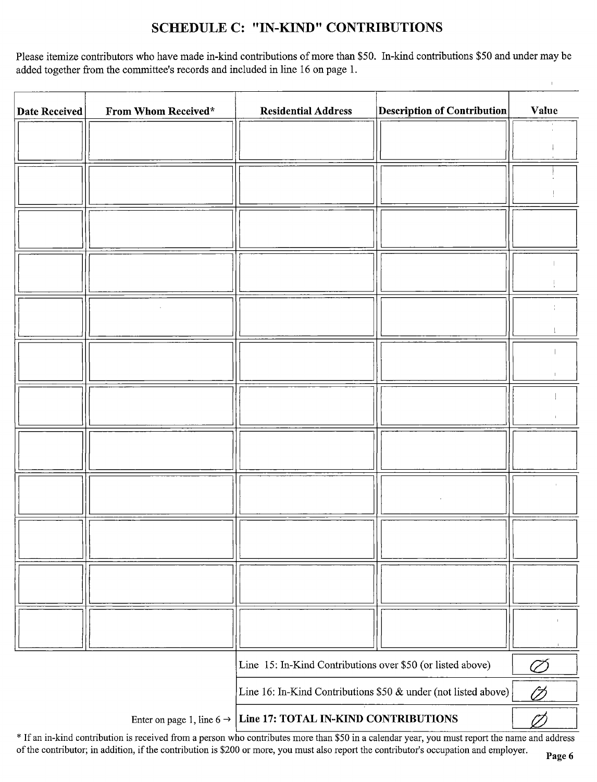## SCHEDULE C: " IN-KIND" CONTRIBUTIONS

Please itemize contributors who have made in-kind contributions of more than \$50. In-kind contributions \$50 and under may be added together from the committee's records and included in line 16 on page 1.

| Date Received | From Whom Received* | <b>Residential Address</b>                                                 | <b>Description of Contribution</b> | Value |
|---------------|---------------------|----------------------------------------------------------------------------|------------------------------------|-------|
|               |                     |                                                                            |                                    |       |
|               |                     |                                                                            |                                    |       |
|               |                     |                                                                            |                                    |       |
|               |                     |                                                                            |                                    |       |
|               |                     |                                                                            |                                    |       |
|               |                     |                                                                            |                                    |       |
|               |                     |                                                                            |                                    |       |
|               |                     |                                                                            |                                    |       |
|               |                     |                                                                            |                                    |       |
|               |                     |                                                                            |                                    |       |
|               |                     |                                                                            |                                    |       |
|               |                     |                                                                            |                                    |       |
|               |                     |                                                                            |                                    |       |
|               |                     |                                                                            |                                    |       |
|               |                     |                                                                            |                                    |       |
|               |                     |                                                                            |                                    |       |
|               |                     |                                                                            |                                    |       |
|               |                     |                                                                            |                                    |       |
|               |                     |                                                                            |                                    |       |
|               |                     |                                                                            |                                    |       |
|               |                     |                                                                            |                                    |       |
|               |                     |                                                                            |                                    |       |
|               |                     |                                                                            |                                    |       |
|               |                     | Line 15: In-Kind Contributions over \$50 (or listed above)                 |                                    |       |
|               |                     |                                                                            |                                    |       |
|               |                     | Line 16: In-Kind Contributions \$50 & under (not listed above)             |                                    | Ø     |
|               |                     | Enter on page 1, line $6 \rightarrow$ Line 17: TOTAL IN-KIND CONTRIBUTIONS |                                    | H     |

\* If an in-kind contribution is received from a person who contributes more than \$50 in a calendar year, you must report the name and address of the contributor; in addition, if the contribution is \$200 or more, you must also report the contributor's occupation and employer.

 $\overline{1}$